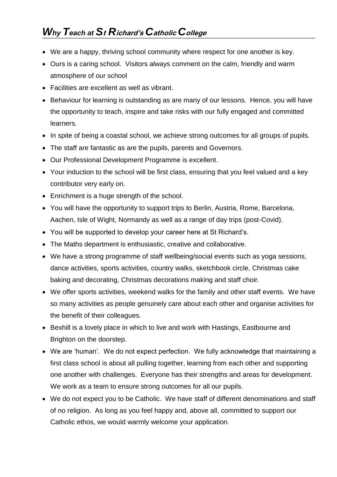- We are a happy, thriving school community where respect for one another is key.
- Ours is a caring school. Visitors always comment on the calm, friendly and warm atmosphere of our school
- Facilities are excellent as well as vibrant.
- $\bullet~$  Behaviour for learning is outstanding as are many of our lessons. Hence, you will have the opportunity to teach, inspire and take risks with our fully engaged and committed learners.
- $\bullet~$  In spite of being a coastal school, we achieve strong outcomes for all groups of pupils.
- The staff are fantastic as are the pupils, parents and Governors.
- Our Professional Development Programme is excellent.
- Your induction to the school will be first class, ensuring that you feel valued and a key contributor very early on.
- Enrichment is a huge strength of the school.
- You will have the opportunity to support trips to Berlin, Austria, Rome, Barcelona, Aachen, Isle of Wight, Normandy as well as a range of day trips (post-Covid).
- You will be supported to develop your career here at St Richard's.
- The Maths department is enthusiastic, creative and collaborative.
- We have a strong programme of staff wellbeing/social events such as yoga sessions, dance activities, sports activities, country walks, sketchbook circle, Christmas cake baking and decorating, Christmas decorations making and staff choir.
- We offer sports activities, weekend walks for the family and other staff events. We have so many activities as people genuinely care about each other and organise activities for the benefit of their colleagues.
- Bexhill is a lovely place in which to live and work with Hastings, Eastbourne and Brighton on the doorstep.
- We are 'human'. We do not expect perfection. We fully acknowledge that maintaining a first class school is about all pulling together, learning from each other and supporting one another with challenges. Everyone has their strengths and areas for development. We work as a team to ensure strong outcomes for all our pupils.
- We do not expect you to be Catholic. We have staff of different denominations and staff of no religion. As long as you feel happy and, above all, committed to support our Catholic ethos, we would warmly welcome your application.